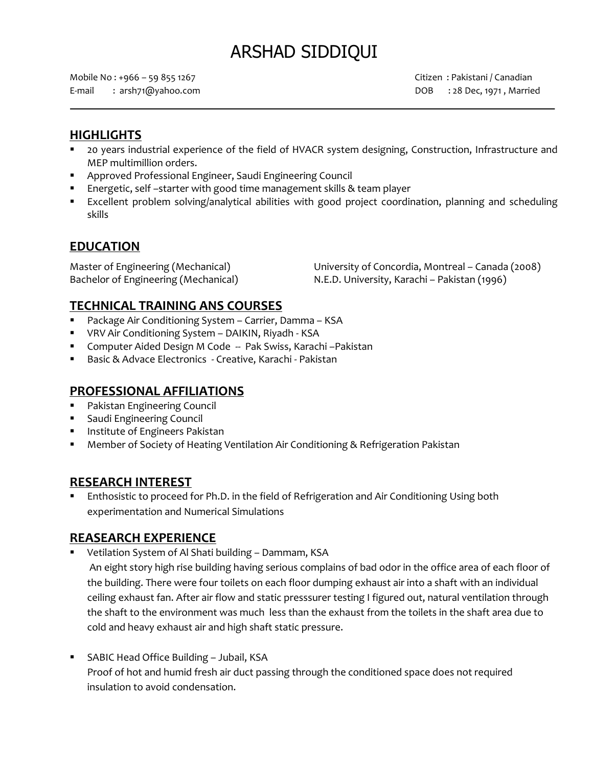# ARSHAD SIDDIQUI

Mobile No : +966 – 59 855 1267 Citizen : Pakistani / Canadian E-mail : arsh71@yahoo.com DOB : 28 Dec, 1971 , Married

## **HIGHLIGHTS**

- 20 years industrial experience of the field of HVACR system designing, Construction, Infrastructure and MEP multimillion orders.
- Approved Professional Engineer, Saudi Engineering Council
- Energetic, self –starter with good time management skills & team player
- Excellent problem solving/analytical abilities with good project coordination, planning and scheduling skills

## **EDUCATION**

Master of Engineering (Mechanical) University of Concordia, Montreal – Canada (2008) Bachelor of Engineering (Mechanical) N.E.D. University, Karachi – Pakistan (1996)

# **TECHNICAL TRAINING ANS COURSES**

- Package Air Conditioning System Carrier, Damma KSA
- VRV Air Conditioning System DAIKIN, Riyadh KSA
- Computer Aided Design M Code -- Pak Swiss, Karachi -Pakistan
- Basic & Advace Electronics Creative, Karachi Pakistan

### **PROFESSIONAL AFFILIATIONS**

- **Pakistan Engineering Council**
- **Saudi Engineering Council**
- **Institute of Engineers Pakistan**
- Member of Society of Heating Ventilation Air Conditioning & Refrigeration Pakistan

### **RESEARCH INTEREST**

 Enthosistic to proceed for Ph.D. in the field of Refrigeration and Air Conditioning Using both experimentation and Numerical Simulations

### **REASEARCH EXPERIENCE**

Vetilation System of Al Shati building – Dammam, KSA

An eight story high rise building having serious complains of bad odor in the office area of each floor of the building. There were four toilets on each floor dumping exhaust air into a shaft with an individual ceiling exhaust fan. After air flow and static presssurer testing I figured out, natural ventilation through the shaft to the environment was much less than the exhaust from the toilets in the shaft area due to cold and heavy exhaust air and high shaft static pressure.

 SABIC Head Office Building – Jubail, KSA Proof of hot and humid fresh air duct passing through the conditioned space does not required insulation to avoid condensation.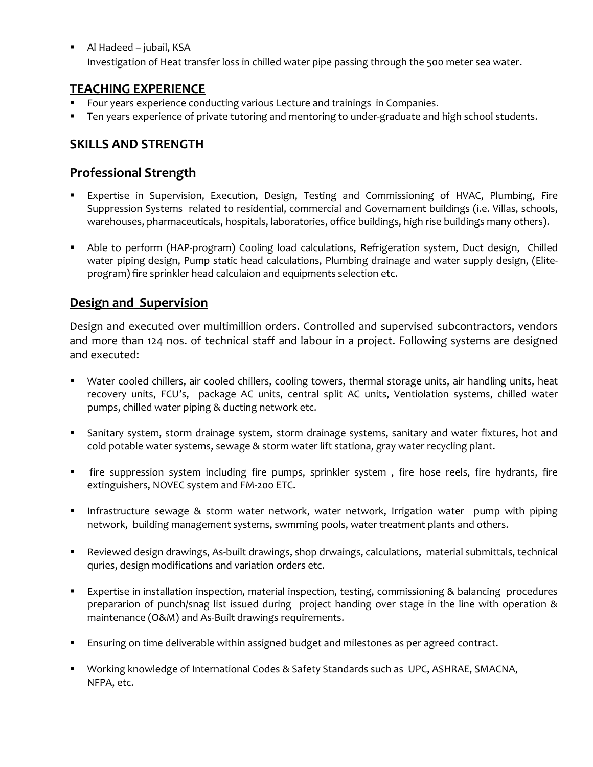Al Hadeed – jubail, KSA Investigation of Heat transfer loss in chilled water pipe passing through the 500 meter sea water.

# **TEACHING EXPERIENCE**

- Four years experience conducting various Lecture and trainings in Companies.
- Ten years experience of private tutoring and mentoring to under-graduate and high school students.

# **SKILLS AND STRENGTH**

## **Professional Strength**

- Expertise in Supervision, Execution, Design, Testing and Commissioning of HVAC, Plumbing, Fire Suppression Systems related to residential, commercial and Governament buildings (i.e. Villas, schools, warehouses, pharmaceuticals, hospitals, laboratories, office buildings, high rise buildings many others).
- Able to perform (HAP-program) Cooling load calculations, Refrigeration system, Duct design, Chilled water piping design, Pump static head calculations, Plumbing drainage and water supply design, (Eliteprogram) fire sprinkler head calculaion and equipments selection etc.

# **Design and Supervision**

Design and executed over multimillion orders. Controlled and supervised subcontractors, vendors and more than 124 nos. of technical staff and labour in a project. Following systems are designed and executed:

- Water cooled chillers, air cooled chillers, cooling towers, thermal storage units, air handling units, heat recovery units, FCU's, package AC units, central split AC units, Ventiolation systems, chilled water pumps, chilled water piping & ducting network etc.
- Sanitary system, storm drainage system, storm drainage systems, sanitary and water fixtures, hot and cold potable water systems, sewage & storm water lift stationa, gray water recycling plant.
- fire suppression system including fire pumps, sprinkler system , fire hose reels, fire hydrants, fire extinguishers, NOVEC system and FM-200 ETC.
- **Infrastructure sewage & storm water network, water network, Irrigation water pump with piping** network, building management systems, swmming pools, water treatment plants and others.
- Reviewed design drawings, As-built drawings, shop drwaings, calculations, material submittals, technical quries, design modifications and variation orders etc.
- Expertise in installation inspection, material inspection, testing, commissioning & balancing procedures prepararion of punch/snag list issued during project handing over stage in the line with operation & maintenance (O&M) and As-Built drawings requirements.
- **Ensuring on time deliverable within assigned budget and milestones as per agreed contract.**
- Working knowledge of International Codes & Safety Standards such as UPC, ASHRAE, SMACNA, NFPA, etc.